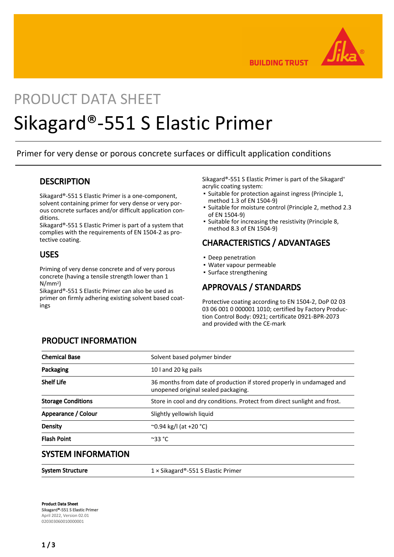

**BUILDING TRUST** 

# PRODUCT DATA SHEFT Sikagard®-551 S Elastic Primer

Primer for very dense or porous concrete surfaces or difficult application conditions

### **DESCRIPTION**

Sikagard®-551 S Elastic Primer is a one-component, solvent containing primer for very dense or very porous concrete surfaces and/or difficult application conditions.

Sikagard®-551 S Elastic Primer is part of a system that complies with the requirements of EN 1504-2 as protective coating.

### USES

Priming of very dense concrete and of very porous concrete (having a tensile strength lower than 1 N/mm2)

Sikagard®-551 S Elastic Primer can also be used as primer on firmly adhering existing solvent based coatings

Sikagard®-551 S Elastic Primer is part of the Sikagard® acrylic coating system:

- Suitable for protection against ingress (Principle 1, method 1.3 of EN 1504-9)
- Suitable for moisture control (Principle 2, method 2.3 of EN 1504-9) ▪
- **•** Suitable for increasing the resistivity (Principle 8, method 8.3 of EN 1504-9)

# CHARACTERISTICS / ADVANTAGES

- Deep penetration
- Water vapour permeable
- Surface strengthening

## APPROVALS / STANDARDS

Protective coating according to EN 1504-2, DoP 02 03 03 06 001 0 000001 1010; certified by Factory Production Control Body: 0921; certificate 0921-BPR-2073 and provided with the CE-mark

| <b>PRODUCT INFORMATION</b> |
|----------------------------|
|----------------------------|

| <b>Chemical Base</b>      | Solvent based polymer binder<br>10 and 20 kg pails                                                           |  |
|---------------------------|--------------------------------------------------------------------------------------------------------------|--|
| Packaging                 |                                                                                                              |  |
| <b>Shelf Life</b>         | 36 months from date of production if stored properly in undamaged and<br>unopened original sealed packaging. |  |
| <b>Storage Conditions</b> | Store in cool and dry conditions. Protect from direct sunlight and frost.                                    |  |
| Appearance / Colour       | Slightly yellowish liquid                                                                                    |  |
| Density                   | $^{\circ}$ 0.94 kg/l (at +20 $^{\circ}$ C)                                                                   |  |
| <b>Flash Point</b>        | $^{\circ}$ 33 °C                                                                                             |  |
| <b>SYSTEM INFORMATION</b> |                                                                                                              |  |

System Structure 1 × Sikagard®-551 S Elastic Primer

Product Data Sheet Sikagard®-551 S Elastic Primer April 2022, Version 02.01 020303060010000001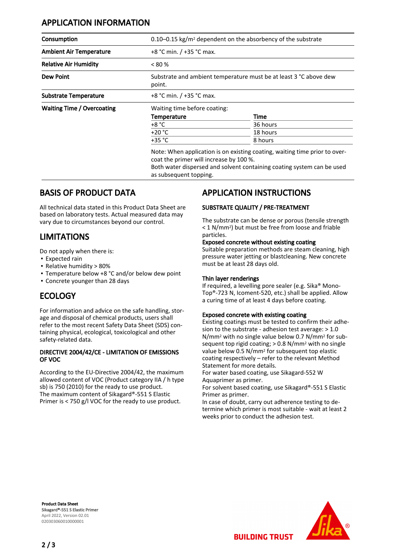# APPLICATION INFORMATION

| Consumption                       |                                                                             | $0.10-0.15$ kg/m <sup>2</sup> dependent on the absorbency of the substrate |  |  |
|-----------------------------------|-----------------------------------------------------------------------------|----------------------------------------------------------------------------|--|--|
| <b>Ambient Air Temperature</b>    | +8 °C min. / +35 °C max.                                                    |                                                                            |  |  |
| <b>Relative Air Humidity</b>      | $< 80\%$                                                                    |                                                                            |  |  |
| <b>Dew Point</b>                  | Substrate and ambient temperature must be at least 3 °C above dew<br>point. |                                                                            |  |  |
| <b>Substrate Temperature</b>      | +8 °C min. / +35 °C max.                                                    |                                                                            |  |  |
| <b>Waiting Time / Overcoating</b> |                                                                             | Waiting time before coating:                                               |  |  |
|                                   | <b>Temperature</b>                                                          | Time                                                                       |  |  |
|                                   | $+8 °C$                                                                     | 36 hours                                                                   |  |  |
|                                   | $+20 °C$                                                                    | 18 hours                                                                   |  |  |
|                                   | +35 °C                                                                      | 8 hours                                                                    |  |  |

Note: When application is on existing coating, waiting time prior to overcoat the primer will increase by 100 %.

Both water dispersed and solvent containing coating system can be used as subsequent topping.

## BASIS OF PRODUCT DATA

All technical data stated in this Product Data Sheet are based on laboratory tests. Actual measured data may vary due to circumstances beyond our control.

# LIMITATIONS

Do not apply when there is:

- Expected rain
- Relative humidity > 80%
- Temperature below +8 °C and/or below dew point
- Concrete younger than 28 days

# **ECOLOGY**

For information and advice on the safe handling, storage and disposal of chemical products, users shall refer to the most recent Safety Data Sheet (SDS) containing physical, ecological, toxicological and other safety-related data.

#### DIRECTIVE 2004/42/CE - LIMITATION OF EMISSIONS OF VOC

According to the EU-Directive 2004/42, the maximum allowed content of VOC (Product category IIA / h type sb) is 750 (2010) for the ready to use product. The maximum content of Sikagard®-551 S Elastic Primer is < 750 g/l VOC for the ready to use product.

# APPLICATION INSTRUCTIONS

### SUBSTRATE QUALITY / PRE-TREATMENT

The substrate can be dense or porous (tensile strength < 1 N/mm2) but must be free from loose and friable particles.

#### Exposed concrete without existing coating

Suitable preparation methods are steam cleaning, high pressure water jetting or blastcleaning. New concrete must be at least 28 days old.

#### Thin layer renderings

If required, a levelling pore sealer (e.g. Sika® Mono-Top®-723 N, Icoment-520, etc.) shall be applied. Allow a curing time of at least 4 days before coating.

### Exposed concrete with existing coating

Existing coatings must be tested to confirm their adhesion to the substrate - adhesion test average: > 1.0 N/mm2 with no single value below 0.7 N/mm2 for subsequent top rigid coating; > 0.8 N/mm2 with no single value below 0.5 N/mm2 for subsequent top elastic coating respectively – refer to the relevant Method Statement for more details.

For water based coating, use Sikagard-552 W Aquaprimer as primer.

**BUILDING TRUST** 

For solvent based coating, use Sikagard®-551 S Elastic Primer as primer.

In case of doubt, carry out adherence testing to determine which primer is most suitable - wait at least 2 weeks prior to conduct the adhesion test.

Product Data Sheet Sikagard®-551 S Elastic Primer April 2022, Version 02.01 020303060010000001